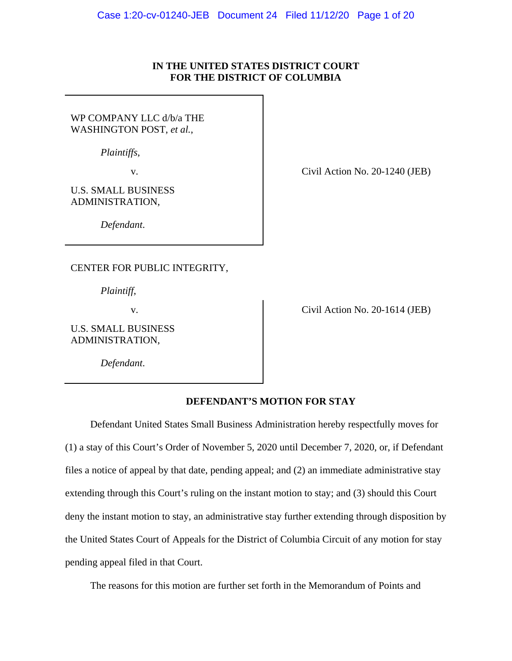# **IN THE UNITED STATES DISTRICT COURT FOR THE DISTRICT OF COLUMBIA**

WP COMPANY LLC d/b/a THE WASHINGTON POST, *et al.*,

*Plaintiffs*,

U.S. SMALL BUSINESS ADMINISTRATION,

*Defendant*.

CENTER FOR PUBLIC INTEGRITY,

*Plaintiff*,

U.S. SMALL BUSINESS ADMINISTRATION,

*Defendant*.

v.

v. Civil Action No. 20-1614 (JEB)

## **DEFENDANT'S MOTION FOR STAY**

Defendant United States Small Business Administration hereby respectfully moves for (1) a stay of this Court's Order of November 5, 2020 until December 7, 2020, or, if Defendant files a notice of appeal by that date, pending appeal; and (2) an immediate administrative stay extending through this Court's ruling on the instant motion to stay; and (3) should this Court deny the instant motion to stay, an administrative stay further extending through disposition by the United States Court of Appeals for the District of Columbia Circuit of any motion for stay pending appeal filed in that Court.

The reasons for this motion are further set forth in the Memorandum of Points and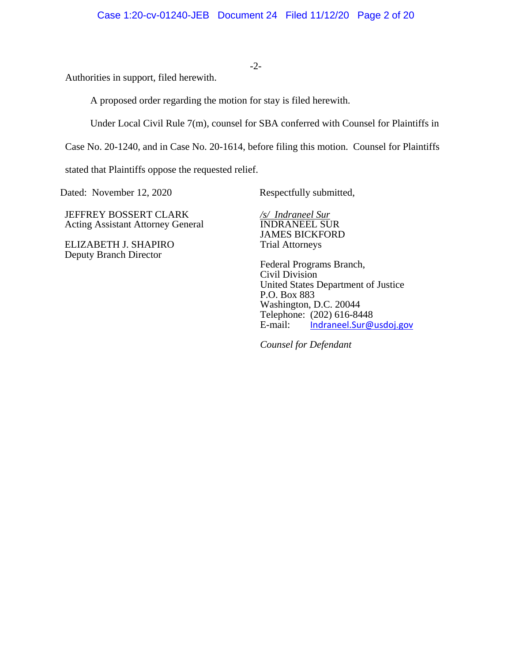Authorities in support, filed herewith.

A proposed order regarding the motion for stay is filed herewith.

Under Local Civil Rule 7(m), counsel for SBA conferred with Counsel for Plaintiffs in

Case No. 20-1240, and in Case No. 20-1614, before filing this motion. Counsel for Plaintiffs

stated that Plaintiffs oppose the requested relief.

Dated: November 12, 2020 Respectfully submitted,

JEFFREY BOSSERT CLARK Acting Assistant Attorney General

ELIZABETH J. SHAPIRO Deputy Branch Director

*/s/ Indraneel Sur* INDRANEEL SUR JAMES BICKFORD Trial Attorneys

Federal Programs Branch, Civil Division United States Department of Justice P.O. Box 883 Washington, D.C. 20044 Telephone:  $(202)$  616-8448<br>E-mail: Indraneel.Sur@ Indraneel.Sur@usdoj.gov

*Counsel for Defendant* 

# -2-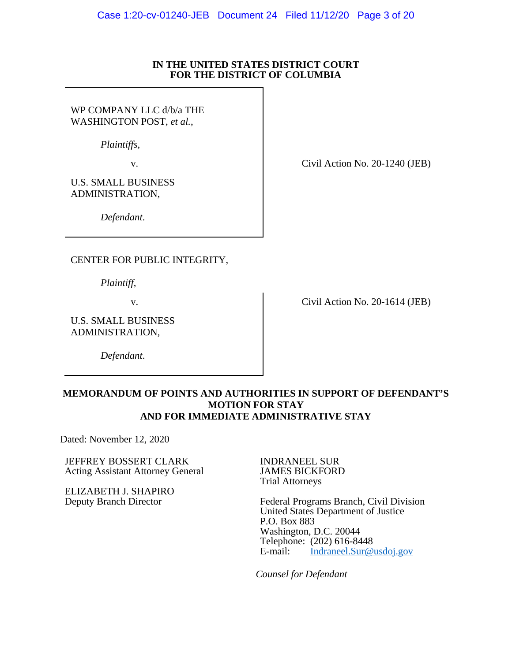#### **IN THE UNITED STATES DISTRICT COURT FOR THE DISTRICT OF COLUMBIA**

WP COMPANY LLC d/b/a THE WASHINGTON POST, *et al.*,

*Plaintiffs*,

U.S. SMALL BUSINESS ADMINISTRATION,

v. Civil Action No. 20-1240 (JEB)

*Defendant*.

CENTER FOR PUBLIC INTEGRITY,

*Plaintiff*,

U.S. SMALL BUSINESS ADMINISTRATION,

*Defendant*.

v. Civil Action No. 20-1614 (JEB)

# **MEMORANDUM OF POINTS AND AUTHORITIES IN SUPPORT OF DEFENDANT'S MOTION FOR STAY AND FOR IMMEDIATE ADMINISTRATIVE STAY**

Dated: November 12, 2020

JEFFREY BOSSERT CLARK Acting Assistant Attorney General

ELIZABETH J. SHAPIRO Deputy Branch Director

INDRANEEL SUR JAMES BICKFORD Trial Attorneys

Federal Programs Branch, Civil Division United States Department of Justice P.O. Box 883 Washington, D.C. 20044 Telephone: (202) 616-8448<br>E-mail: Indraneel.Sur@ Indraneel.Sur@usdoj.gov

*Counsel for Defendant*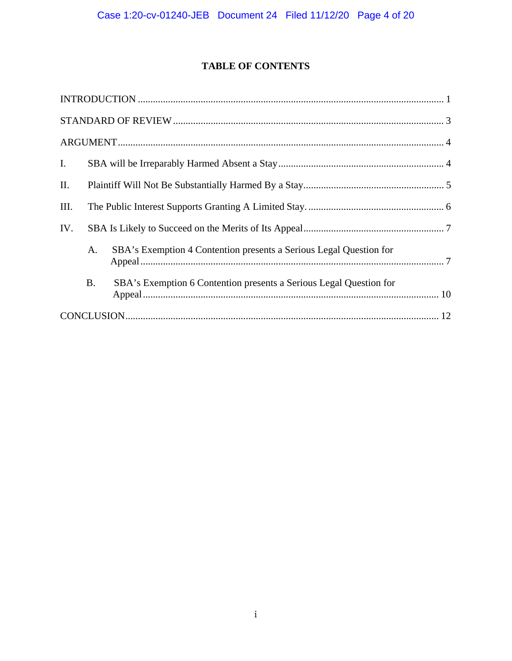# **TABLE OF CONTENTS**

| I.  |           |                                                                    |  |  |
|-----|-----------|--------------------------------------------------------------------|--|--|
| II. |           |                                                                    |  |  |
| Ш.  |           |                                                                    |  |  |
| IV. |           |                                                                    |  |  |
|     | A.        | SBA's Exemption 4 Contention presents a Serious Legal Question for |  |  |
|     | <b>B.</b> | SBA's Exemption 6 Contention presents a Serious Legal Question for |  |  |
|     |           |                                                                    |  |  |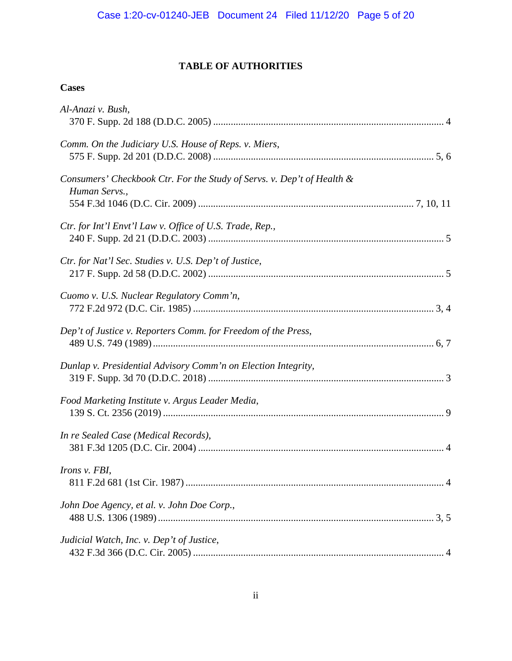# **TABLE OF AUTHORITIES**

# **Cases**

| Al-Anazi v. Bush,                                                                       |
|-----------------------------------------------------------------------------------------|
| Comm. On the Judiciary U.S. House of Reps. v. Miers,                                    |
| Consumers' Checkbook Ctr. For the Study of Servs. v. Dep't of Health &<br>Human Servs., |
| Ctr. for Int'l Envt'l Law v. Office of U.S. Trade, Rep.,                                |
| Ctr. for Nat'l Sec. Studies v. U.S. Dep't of Justice,                                   |
| Cuomo v. U.S. Nuclear Regulatory Comm'n,                                                |
| Dep't of Justice v. Reporters Comm. for Freedom of the Press,                           |
| Dunlap v. Presidential Advisory Comm'n on Election Integrity,                           |
| Food Marketing Institute v. Argus Leader Media,                                         |
| In re Sealed Case (Medical Records),                                                    |
| Irons v. FBI,                                                                           |
| John Doe Agency, et al. v. John Doe Corp.,                                              |
| Judicial Watch, Inc. v. Dep't of Justice,                                               |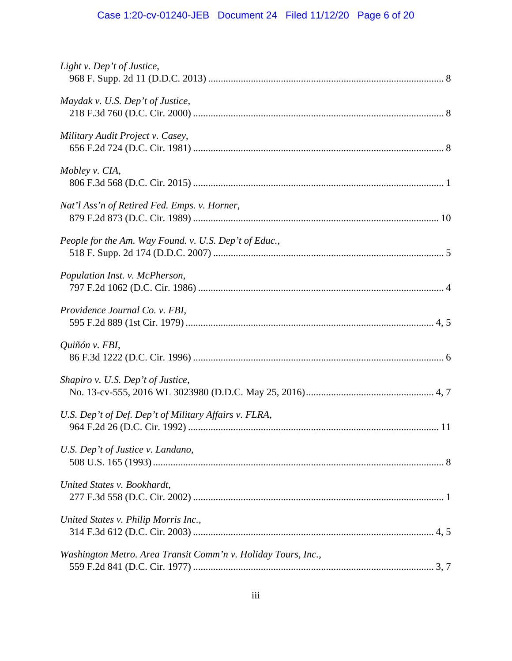# Case 1:20-cv-01240-JEB Document 24 Filed 11/12/20 Page 6 of 20

| Light v. Dep't of Justice,                                    |
|---------------------------------------------------------------|
| Maydak v. U.S. Dep't of Justice,                              |
| Military Audit Project v. Casey,                              |
| Mobley v. CIA,                                                |
| Nat'l Ass'n of Retired Fed. Emps. v. Horner,                  |
| People for the Am. Way Found. v. U.S. Dep't of Educ.,         |
| Population Inst. v. McPherson,                                |
| Providence Journal Co. v. FBI,                                |
| Quiñón v. FBI,                                                |
| Shapiro v. U.S. Dep't of Justice,                             |
| U.S. Dep't of Def. Dep't of Military Affairs v. FLRA,         |
| U.S. Dep't of Justice v. Landano,                             |
| United States v. Bookhardt,                                   |
| United States v. Philip Morris Inc.,                          |
| Washington Metro. Area Transit Comm'n v. Holiday Tours, Inc., |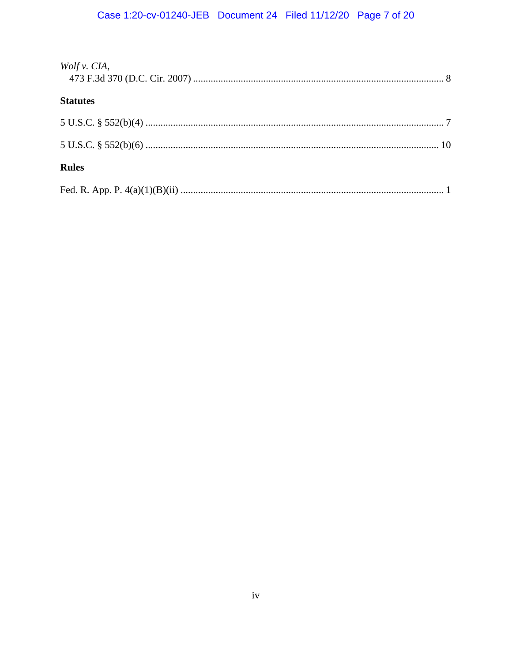# Case 1:20-cv-01240-JEB Document 24 Filed 11/12/20 Page 7 of 20

| Wolf v. CIA,    |  |
|-----------------|--|
| <b>Statutes</b> |  |
|                 |  |
|                 |  |
| <b>Rules</b>    |  |
|                 |  |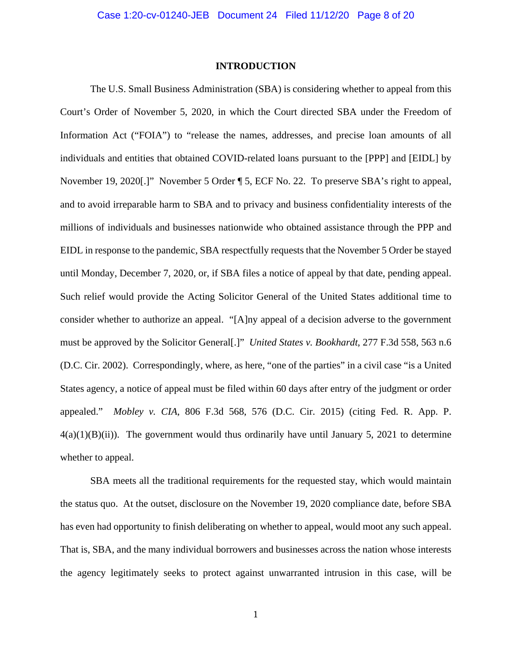#### **INTRODUCTION**

The U.S. Small Business Administration (SBA) is considering whether to appeal from this Court's Order of November 5, 2020, in which the Court directed SBA under the Freedom of Information Act ("FOIA") to "release the names, addresses, and precise loan amounts of all individuals and entities that obtained COVID-related loans pursuant to the [PPP] and [EIDL] by November 19, 2020[.]" November 5 Order ¶ 5, ECF No. 22. To preserve SBA's right to appeal, and to avoid irreparable harm to SBA and to privacy and business confidentiality interests of the millions of individuals and businesses nationwide who obtained assistance through the PPP and EIDL in response to the pandemic, SBA respectfully requests that the November 5 Order be stayed until Monday, December 7, 2020, or, if SBA files a notice of appeal by that date, pending appeal. Such relief would provide the Acting Solicitor General of the United States additional time to consider whether to authorize an appeal. "[A]ny appeal of a decision adverse to the government must be approved by the Solicitor General[.]" *United States v. Bookhardt*, 277 F.3d 558, 563 n.6 (D.C. Cir. 2002). Correspondingly, where, as here, "one of the parties" in a civil case "is a United States agency, a notice of appeal must be filed within 60 days after entry of the judgment or order appealed." *Mobley v. CIA*, 806 F.3d 568, 576 (D.C. Cir. 2015) (citing Fed. R. App. P.  $4(a)(1)(B)(ii)$ . The government would thus ordinarily have until January 5, 2021 to determine whether to appeal.

SBA meets all the traditional requirements for the requested stay, which would maintain the status quo. At the outset, disclosure on the November 19, 2020 compliance date, before SBA has even had opportunity to finish deliberating on whether to appeal, would moot any such appeal. That is, SBA, and the many individual borrowers and businesses across the nation whose interests the agency legitimately seeks to protect against unwarranted intrusion in this case, will be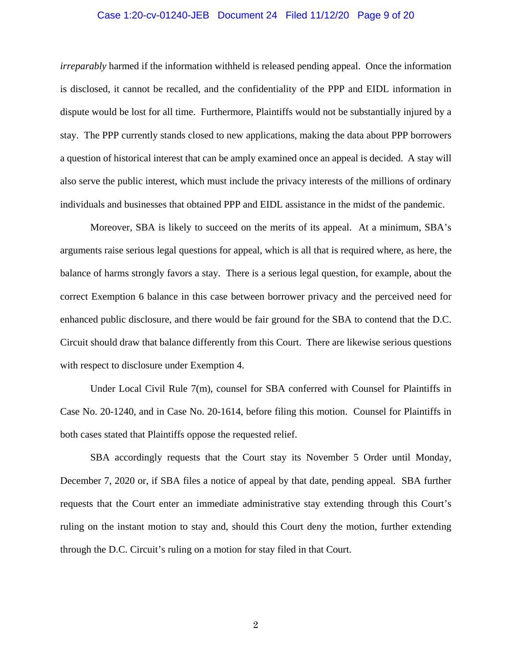#### Case 1:20-cv-01240-JEB Document 24 Filed 11/12/20 Page 9 of 20

*irreparably* harmed if the information withheld is released pending appeal. Once the information is disclosed, it cannot be recalled, and the confidentiality of the PPP and EIDL information in dispute would be lost for all time. Furthermore, Plaintiffs would not be substantially injured by a stay. The PPP currently stands closed to new applications, making the data about PPP borrowers a question of historical interest that can be amply examined once an appeal is decided. A stay will also serve the public interest, which must include the privacy interests of the millions of ordinary individuals and businesses that obtained PPP and EIDL assistance in the midst of the pandemic.

Moreover, SBA is likely to succeed on the merits of its appeal. At a minimum, SBA's arguments raise serious legal questions for appeal, which is all that is required where, as here, the balance of harms strongly favors a stay. There is a serious legal question, for example, about the correct Exemption 6 balance in this case between borrower privacy and the perceived need for enhanced public disclosure, and there would be fair ground for the SBA to contend that the D.C. Circuit should draw that balance differently from this Court. There are likewise serious questions with respect to disclosure under Exemption 4.

Under Local Civil Rule 7(m), counsel for SBA conferred with Counsel for Plaintiffs in Case No. 20-1240, and in Case No. 20-1614, before filing this motion. Counsel for Plaintiffs in both cases stated that Plaintiffs oppose the requested relief.

SBA accordingly requests that the Court stay its November 5 Order until Monday, December 7, 2020 or, if SBA files a notice of appeal by that date, pending appeal. SBA further requests that the Court enter an immediate administrative stay extending through this Court's ruling on the instant motion to stay and, should this Court deny the motion, further extending through the D.C. Circuit's ruling on a motion for stay filed in that Court.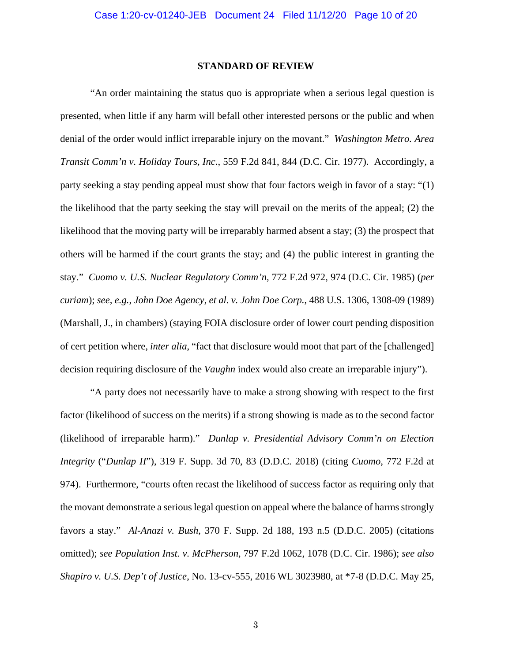#### **STANDARD OF REVIEW**

"An order maintaining the status quo is appropriate when a serious legal question is presented, when little if any harm will befall other interested persons or the public and when denial of the order would inflict irreparable injury on the movant." *Washington Metro. Area Transit Comm'n v. Holiday Tours, Inc.*, 559 F.2d 841, 844 (D.C. Cir. 1977). Accordingly, a party seeking a stay pending appeal must show that four factors weigh in favor of a stay: "(1) the likelihood that the party seeking the stay will prevail on the merits of the appeal; (2) the likelihood that the moving party will be irreparably harmed absent a stay; (3) the prospect that others will be harmed if the court grants the stay; and (4) the public interest in granting the stay." *Cuomo v. U.S. Nuclear Regulatory Comm'n*, 772 F.2d 972, 974 (D.C. Cir. 1985) (*per curiam*); *see, e.g.*, *John Doe Agency, et al. v. John Doe Corp.*, 488 U.S. 1306, 1308-09 (1989) (Marshall, J., in chambers) (staying FOIA disclosure order of lower court pending disposition of cert petition where, *inter alia*, "fact that disclosure would moot that part of the [challenged] decision requiring disclosure of the *Vaughn* index would also create an irreparable injury").

"A party does not necessarily have to make a strong showing with respect to the first factor (likelihood of success on the merits) if a strong showing is made as to the second factor (likelihood of irreparable harm)." *Dunlap v. Presidential Advisory Comm'n on Election Integrity* ("*Dunlap II*"), 319 F. Supp. 3d 70, 83 (D.D.C. 2018) (citing *Cuomo*, 772 F.2d at 974). Furthermore, "courts often recast the likelihood of success factor as requiring only that the movant demonstrate a serious legal question on appeal where the balance of harms strongly favors a stay." *Al-Anazi v. Bush*, 370 F. Supp. 2d 188, 193 n.5 (D.D.C. 2005) (citations omitted); *see Population Inst. v. McPherson*, 797 F.2d 1062, 1078 (D.C. Cir. 1986); *see also Shapiro v. U.S. Dep't of Justice*, No. 13-cv-555, 2016 WL 3023980, at \*7-8 (D.D.C. May 25,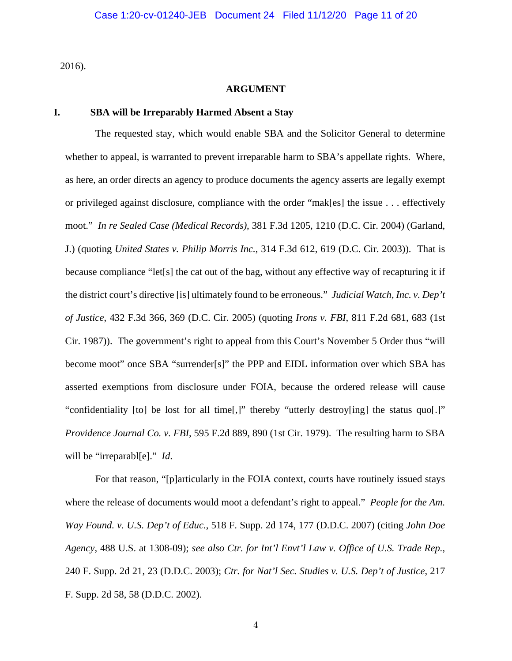2016).

#### **ARGUMENT**

#### **I. SBA will be Irreparably Harmed Absent a Stay**

The requested stay, which would enable SBA and the Solicitor General to determine whether to appeal, is warranted to prevent irreparable harm to SBA's appellate rights. Where, as here, an order directs an agency to produce documents the agency asserts are legally exempt or privileged against disclosure, compliance with the order "mak[es] the issue . . . effectively moot." *In re Sealed Case (Medical Records)*, 381 F.3d 1205, 1210 (D.C. Cir. 2004) (Garland, J.) (quoting *United States v. Philip Morris Inc.*, 314 F.3d 612, 619 (D.C. Cir. 2003)). That is because compliance "let[s] the cat out of the bag, without any effective way of recapturing it if the district court's directive [is] ultimately found to be erroneous." *Judicial Watch, Inc. v. Dep't of Justice*, 432 F.3d 366, 369 (D.C. Cir. 2005) (quoting *Irons v. FBI*, 811 F.2d 681, 683 (1st Cir. 1987)). The government's right to appeal from this Court's November 5 Order thus "will become moot" once SBA "surrender[s]" the PPP and EIDL information over which SBA has asserted exemptions from disclosure under FOIA, because the ordered release will cause "confidentiality [to] be lost for all time[,]" thereby "utterly destroy[ing] the status quo[.]" *Providence Journal Co. v. FBI*, 595 F.2d 889, 890 (1st Cir. 1979). The resulting harm to SBA will be "irreparabl[e]." *Id*.

For that reason, "[p]articularly in the FOIA context, courts have routinely issued stays where the release of documents would moot a defendant's right to appeal." *People for the Am. Way Found. v. U.S. Dep't of Educ.*, 518 F. Supp. 2d 174, 177 (D.D.C. 2007) (citing *John Doe Agency*, 488 U.S. at 1308-09); *see also Ctr. for Int'l Envt'l Law v. Office of U.S. Trade Rep.*, 240 F. Supp. 2d 21, 23 (D.D.C. 2003); *Ctr. for Nat'l Sec. Studies v. U.S. Dep't of Justice*, 217 F. Supp. 2d 58, 58 (D.D.C. 2002).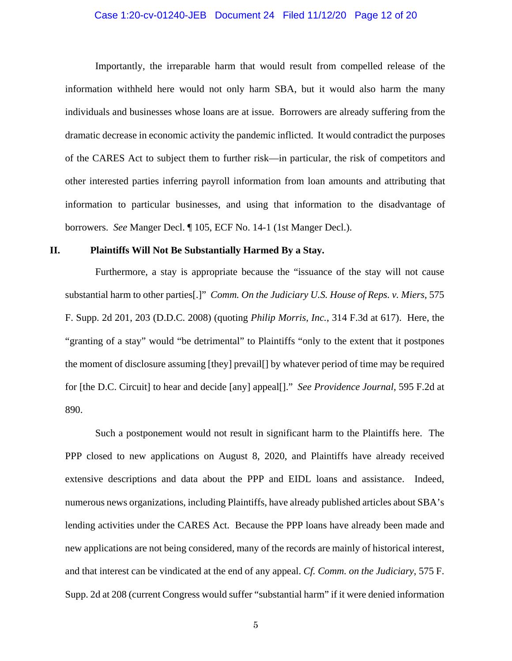#### Case 1:20-cv-01240-JEB Document 24 Filed 11/12/20 Page 12 of 20

Importantly, the irreparable harm that would result from compelled release of the information withheld here would not only harm SBA, but it would also harm the many individuals and businesses whose loans are at issue. Borrowers are already suffering from the dramatic decrease in economic activity the pandemic inflicted. It would contradict the purposes of the CARES Act to subject them to further risk—in particular, the risk of competitors and other interested parties inferring payroll information from loan amounts and attributing that information to particular businesses, and using that information to the disadvantage of borrowers. *See* Manger Decl. ¶ 105, ECF No. 14-1 (1st Manger Decl.).

#### **II. Plaintiffs Will Not Be Substantially Harmed By a Stay.**

Furthermore, a stay is appropriate because the "issuance of the stay will not cause substantial harm to other parties[.]" *Comm. On the Judiciary U.S. House of Reps. v. Miers*, 575 F. Supp. 2d 201, 203 (D.D.C. 2008) (quoting *Philip Morris, Inc.*, 314 F.3d at 617). Here, the "granting of a stay" would "be detrimental" to Plaintiffs "only to the extent that it postpones the moment of disclosure assuming [they] prevail[] by whatever period of time may be required for [the D.C. Circuit] to hear and decide [any] appeal[]." *See Providence Journal*, 595 F.2d at 890.

Such a postponement would not result in significant harm to the Plaintiffs here. The PPP closed to new applications on August 8, 2020, and Plaintiffs have already received extensive descriptions and data about the PPP and EIDL loans and assistance. Indeed, numerous news organizations, including Plaintiffs, have already published articles about SBA's lending activities under the CARES Act. Because the PPP loans have already been made and new applications are not being considered, many of the records are mainly of historical interest, and that interest can be vindicated at the end of any appeal. *Cf. Comm. on the Judiciary*, 575 F. Supp. 2d at 208 (current Congress would suffer "substantial harm" if it were denied information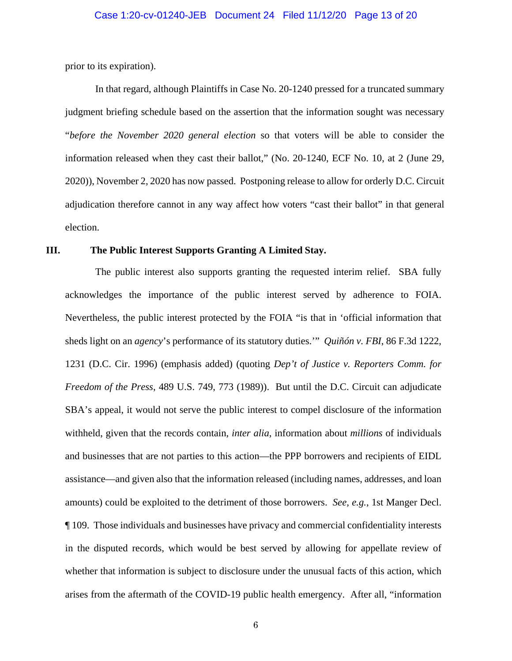prior to its expiration).

In that regard, although Plaintiffs in Case No. 20-1240 pressed for a truncated summary judgment briefing schedule based on the assertion that the information sought was necessary "*before the November 2020 general election* so that voters will be able to consider the information released when they cast their ballot," (No. 20-1240, ECF No. 10, at 2 (June 29, 2020)), November 2, 2020 has now passed. Postponing release to allow for orderly D.C. Circuit adjudication therefore cannot in any way affect how voters "cast their ballot" in that general election.

### **III. The Public Interest Supports Granting A Limited Stay.**

The public interest also supports granting the requested interim relief. SBA fully acknowledges the importance of the public interest served by adherence to FOIA. Nevertheless, the public interest protected by the FOIA "is that in 'official information that sheds light on an *agency*'s performance of its statutory duties.'" *Quiñón v. FBI*, 86 F.3d 1222, 1231 (D.C. Cir. 1996) (emphasis added) (quoting *Dep't of Justice v. Reporters Comm. for Freedom of the Press*, 489 U.S. 749, 773 (1989)). But until the D.C. Circuit can adjudicate SBA's appeal, it would not serve the public interest to compel disclosure of the information withheld, given that the records contain, *inter alia*, information about *millions* of individuals and businesses that are not parties to this action—the PPP borrowers and recipients of EIDL assistance—and given also that the information released (including names, addresses, and loan amounts) could be exploited to the detriment of those borrowers. *See, e.g.*, 1st Manger Decl. ¶ 109. Those individuals and businesses have privacy and commercial confidentiality interests in the disputed records, which would be best served by allowing for appellate review of whether that information is subject to disclosure under the unusual facts of this action, which arises from the aftermath of the COVID-19 public health emergency. After all, "information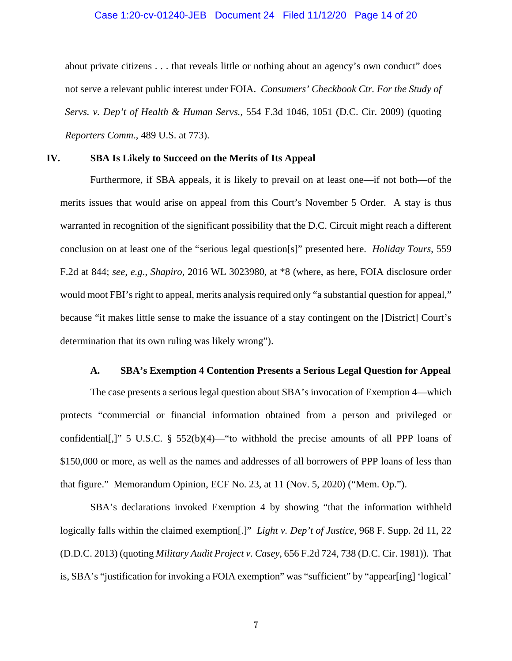#### Case 1:20-cv-01240-JEB Document 24 Filed 11/12/20 Page 14 of 20

about private citizens . . . that reveals little or nothing about an agency's own conduct" does not serve a relevant public interest under FOIA. *Consumers' Checkbook Ctr. For the Study of Servs. v. Dep't of Health & Human Servs.,* 554 F.3d 1046, 1051 (D.C. Cir. 2009) (quoting *Reporters Comm*., 489 U.S. at 773).

#### **IV. SBA Is Likely to Succeed on the Merits of Its Appeal**

Furthermore, if SBA appeals, it is likely to prevail on at least one—if not both—of the merits issues that would arise on appeal from this Court's November 5 Order. A stay is thus warranted in recognition of the significant possibility that the D.C. Circuit might reach a different conclusion on at least one of the "serious legal question[s]" presented here. *Holiday Tours*, 559 F.2d at 844; *see, e.g*., *Shapiro*, 2016 WL 3023980, at \*8 (where, as here, FOIA disclosure order would moot FBI's right to appeal, merits analysis required only "a substantial question for appeal," because "it makes little sense to make the issuance of a stay contingent on the [District] Court's determination that its own ruling was likely wrong").

## **A. SBA's Exemption 4 Contention Presents a Serious Legal Question for Appeal**

The case presents a serious legal question about SBA's invocation of Exemption 4—which protects "commercial or financial information obtained from a person and privileged or confidential[,]" 5 U.S.C. § 552(b)(4)—"to withhold the precise amounts of all PPP loans of \$150,000 or more, as well as the names and addresses of all borrowers of PPP loans of less than that figure." Memorandum Opinion, ECF No. 23, at 11 (Nov. 5, 2020) ("Mem. Op.").

SBA's declarations invoked Exemption 4 by showing "that the information withheld logically falls within the claimed exemption[.]" *Light v. Dep't of Justice*, 968 F. Supp. 2d 11, 22 (D.D.C. 2013) (quoting *Military Audit Project v. Casey*, 656 F.2d 724, 738 (D.C. Cir. 1981)). That is, SBA's "justification for invoking a FOIA exemption" was "sufficient" by "appear[ing] 'logical'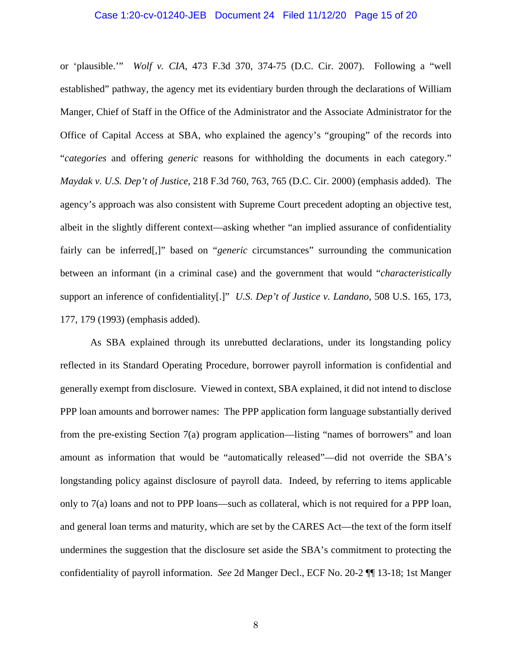#### Case 1:20-cv-01240-JEB Document 24 Filed 11/12/20 Page 15 of 20

or 'plausible.'" *Wolf v. CIA*, 473 F.3d 370, 374-75 (D.C. Cir. 2007). Following a "well established" pathway, the agency met its evidentiary burden through the declarations of William Manger, Chief of Staff in the Office of the Administrator and the Associate Administrator for the Office of Capital Access at SBA, who explained the agency's "grouping" of the records into "*categories* and offering *generic* reasons for withholding the documents in each category." *Maydak v. U.S. Dep't of Justice*, 218 F.3d 760, 763, 765 (D.C. Cir. 2000) (emphasis added). The agency's approach was also consistent with Supreme Court precedent adopting an objective test, albeit in the slightly different context—asking whether "an implied assurance of confidentiality fairly can be inferred[,]" based on "*generic* circumstances" surrounding the communication between an informant (in a criminal case) and the government that would "*characteristically* support an inference of confidentiality[.]" *U.S. Dep't of Justice v. Landano*, 508 U.S. 165, 173, 177, 179 (1993) (emphasis added).

As SBA explained through its unrebutted declarations, under its longstanding policy reflected in its Standard Operating Procedure, borrower payroll information is confidential and generally exempt from disclosure. Viewed in context, SBA explained, it did not intend to disclose PPP loan amounts and borrower names: The PPP application form language substantially derived from the pre-existing Section 7(a) program application—listing "names of borrowers" and loan amount as information that would be "automatically released"—did not override the SBA's longstanding policy against disclosure of payroll data. Indeed, by referring to items applicable only to 7(a) loans and not to PPP loans—such as collateral, which is not required for a PPP loan, and general loan terms and maturity, which are set by the CARES Act—the text of the form itself undermines the suggestion that the disclosure set aside the SBA's commitment to protecting the confidentiality of payroll information. *See* 2d Manger Decl., ECF No. 20-2 ¶¶ 13-18; 1st Manger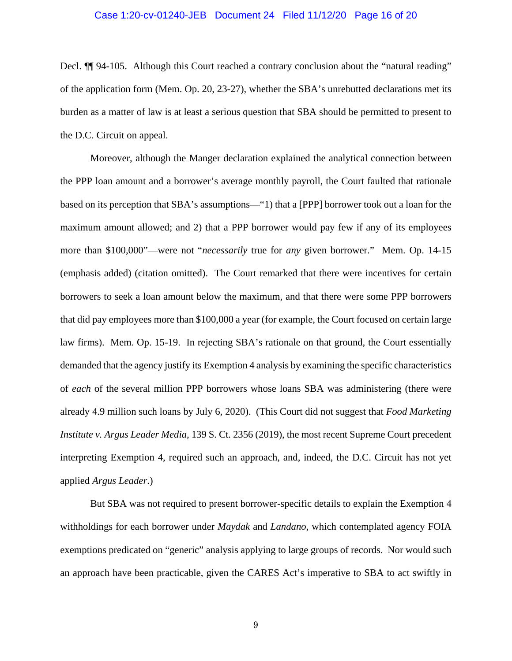#### Case 1:20-cv-01240-JEB Document 24 Filed 11/12/20 Page 16 of 20

Decl.  $\P$  94-105. Although this Court reached a contrary conclusion about the "natural reading" of the application form (Mem. Op. 20, 23-27), whether the SBA's unrebutted declarations met its burden as a matter of law is at least a serious question that SBA should be permitted to present to the D.C. Circuit on appeal.

Moreover, although the Manger declaration explained the analytical connection between the PPP loan amount and a borrower's average monthly payroll, the Court faulted that rationale based on its perception that SBA's assumptions—"1) that a [PPP] borrower took out a loan for the maximum amount allowed; and 2) that a PPP borrower would pay few if any of its employees more than \$100,000"—were not "*necessarily* true for *any* given borrower." Mem. Op. 14-15 (emphasis added) (citation omitted). The Court remarked that there were incentives for certain borrowers to seek a loan amount below the maximum, and that there were some PPP borrowers that did pay employees more than \$100,000 a year (for example, the Court focused on certain large law firms). Mem. Op. 15-19. In rejecting SBA's rationale on that ground, the Court essentially demanded that the agency justify its Exemption 4 analysis by examining the specific characteristics of *each* of the several million PPP borrowers whose loans SBA was administering (there were already 4.9 million such loans by July 6, 2020). (This Court did not suggest that *Food Marketing Institute v. Argus Leader Media*, 139 S. Ct. 2356 (2019), the most recent Supreme Court precedent interpreting Exemption 4, required such an approach, and, indeed, the D.C. Circuit has not yet applied *Argus Leader*.)

But SBA was not required to present borrower-specific details to explain the Exemption 4 withholdings for each borrower under *Maydak* and *Landano*, which contemplated agency FOIA exemptions predicated on "generic" analysis applying to large groups of records. Nor would such an approach have been practicable, given the CARES Act's imperative to SBA to act swiftly in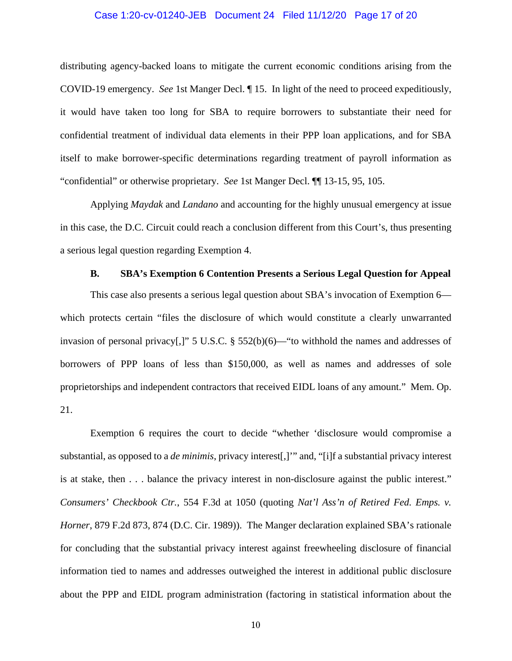#### Case 1:20-cv-01240-JEB Document 24 Filed 11/12/20 Page 17 of 20

distributing agency-backed loans to mitigate the current economic conditions arising from the COVID-19 emergency. *See* 1st Manger Decl. ¶ 15. In light of the need to proceed expeditiously, it would have taken too long for SBA to require borrowers to substantiate their need for confidential treatment of individual data elements in their PPP loan applications, and for SBA itself to make borrower-specific determinations regarding treatment of payroll information as "confidential" or otherwise proprietary. *See* 1st Manger Decl. ¶¶ 13-15, 95, 105.

Applying *Maydak* and *Landano* and accounting for the highly unusual emergency at issue in this case, the D.C. Circuit could reach a conclusion different from this Court's, thus presenting a serious legal question regarding Exemption 4.

#### **B. SBA's Exemption 6 Contention Presents a Serious Legal Question for Appeal**

This case also presents a serious legal question about SBA's invocation of Exemption 6 which protects certain "files the disclosure of which would constitute a clearly unwarranted invasion of personal privacy[,]" 5 U.S.C. § 552(b)(6)—"to withhold the names and addresses of borrowers of PPP loans of less than \$150,000, as well as names and addresses of sole proprietorships and independent contractors that received EIDL loans of any amount." Mem. Op. 21.

Exemption 6 requires the court to decide "whether 'disclosure would compromise a substantial, as opposed to a *de minimis*, privacy interest[,]'" and, "[i]f a substantial privacy interest is at stake, then . . . balance the privacy interest in non-disclosure against the public interest." *Consumers' Checkbook Ctr.*, 554 F.3d at 1050 (quoting *Nat'l Ass'n of Retired Fed. Emps. v. Horner*, 879 F.2d 873, 874 (D.C. Cir. 1989)). The Manger declaration explained SBA's rationale for concluding that the substantial privacy interest against freewheeling disclosure of financial information tied to names and addresses outweighed the interest in additional public disclosure about the PPP and EIDL program administration (factoring in statistical information about the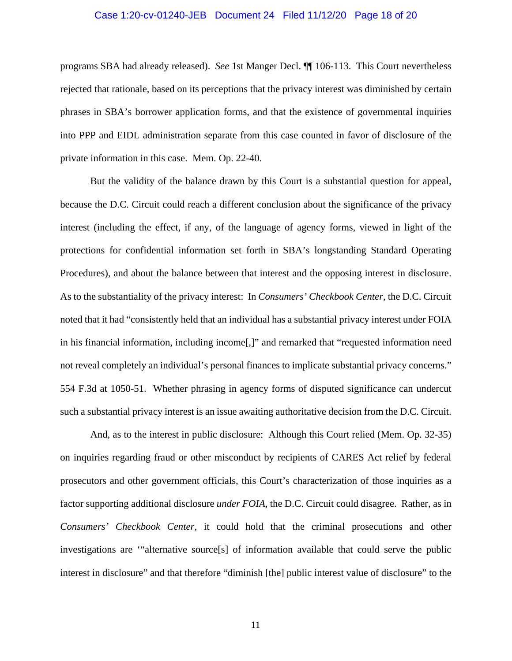#### Case 1:20-cv-01240-JEB Document 24 Filed 11/12/20 Page 18 of 20

programs SBA had already released). *See* 1st Manger Decl. ¶¶ 106-113. This Court nevertheless rejected that rationale, based on its perceptions that the privacy interest was diminished by certain phrases in SBA's borrower application forms, and that the existence of governmental inquiries into PPP and EIDL administration separate from this case counted in favor of disclosure of the private information in this case. Mem. Op. 22-40.

But the validity of the balance drawn by this Court is a substantial question for appeal, because the D.C. Circuit could reach a different conclusion about the significance of the privacy interest (including the effect, if any, of the language of agency forms, viewed in light of the protections for confidential information set forth in SBA's longstanding Standard Operating Procedures), and about the balance between that interest and the opposing interest in disclosure. As to the substantiality of the privacy interest: In *Consumers' Checkbook Center*, the D.C. Circuit noted that it had "consistently held that an individual has a substantial privacy interest under FOIA in his financial information, including income[,]" and remarked that "requested information need not reveal completely an individual's personal finances to implicate substantial privacy concerns." 554 F.3d at 1050-51. Whether phrasing in agency forms of disputed significance can undercut such a substantial privacy interest is an issue awaiting authoritative decision from the D.C. Circuit.

And, as to the interest in public disclosure: Although this Court relied (Mem. Op. 32-35) on inquiries regarding fraud or other misconduct by recipients of CARES Act relief by federal prosecutors and other government officials, this Court's characterization of those inquiries as a factor supporting additional disclosure *under FOIA*, the D.C. Circuit could disagree. Rather, as in *Consumers' Checkbook Center*, it could hold that the criminal prosecutions and other investigations are '"alternative source[s] of information available that could serve the public interest in disclosure" and that therefore "diminish [the] public interest value of disclosure" to the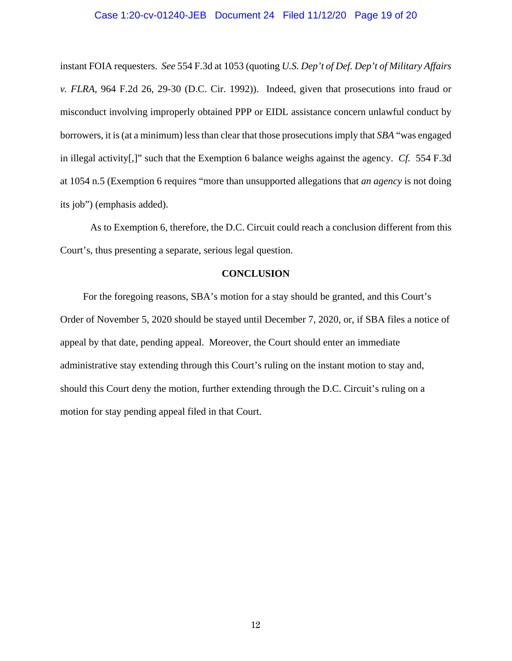#### Case 1:20-cv-01240-JEB Document 24 Filed 11/12/20 Page 19 of 20

instant FOIA requesters. *See* 554 F.3d at 1053 (quoting *U.S. Dep't of Def. Dep't of Military Affairs v. FLRA*, 964 F.2d 26, 29-30 (D.C. Cir. 1992)). Indeed, given that prosecutions into fraud or misconduct involving improperly obtained PPP or EIDL assistance concern unlawful conduct by borrowers, it is (at a minimum) less than clear that those prosecutions imply that *SBA* "was engaged in illegal activity[,]" such that the Exemption 6 balance weighs against the agency. *Cf.* 554 F.3d at 1054 n.5 (Exemption 6 requires "more than unsupported allegations that *an agency* is not doing its job") (emphasis added).

As to Exemption 6, therefore, the D.C. Circuit could reach a conclusion different from this Court's, thus presenting a separate, serious legal question.

#### **CONCLUSION**

For the foregoing reasons, SBA's motion for a stay should be granted, and this Court's Order of November 5, 2020 should be stayed until December 7, 2020, or, if SBA files a notice of appeal by that date, pending appeal. Moreover, the Court should enter an immediate administrative stay extending through this Court's ruling on the instant motion to stay and, should this Court deny the motion, further extending through the D.C. Circuit's ruling on a motion for stay pending appeal filed in that Court.